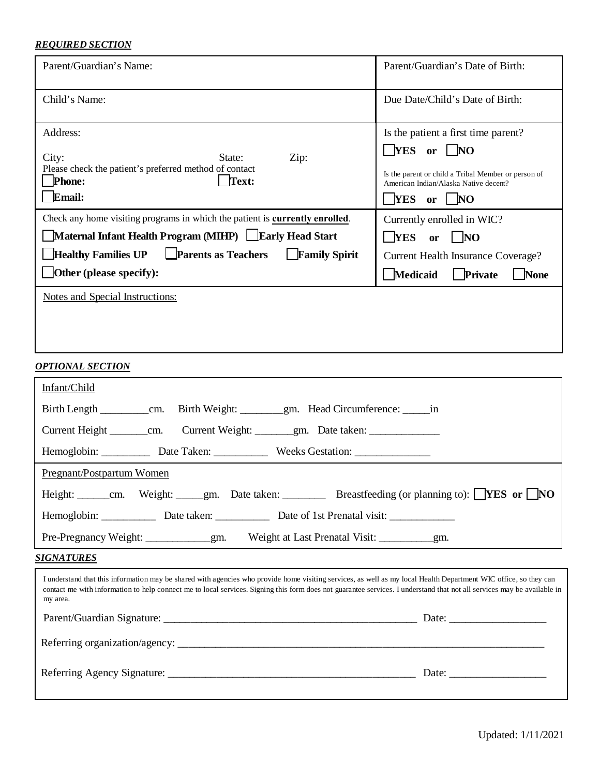#### *REQUIRED SECTION*

| Parent/Guardian's Name:                                                                                                                                                                                                                                                                                                                                 | Parent/Guardian's Date of Birth:                                                             |
|---------------------------------------------------------------------------------------------------------------------------------------------------------------------------------------------------------------------------------------------------------------------------------------------------------------------------------------------------------|----------------------------------------------------------------------------------------------|
| Child's Name:                                                                                                                                                                                                                                                                                                                                           | Due Date/Child's Date of Birth:                                                              |
| Address:                                                                                                                                                                                                                                                                                                                                                | Is the patient a first time parent?<br>$YES$ or $NO$                                         |
| State:<br>Zip:<br>City:<br>Please check the patient's preferred method of contact<br><b>Phone:</b><br>Text:                                                                                                                                                                                                                                             | Is the parent or child a Tribal Member or person of<br>American Indian/Alaska Native decent? |
| Email:                                                                                                                                                                                                                                                                                                                                                  | NES or $\Box$ NO                                                                             |
| Check any home visiting programs in which the patient is currently enrolled.                                                                                                                                                                                                                                                                            | Currently enrolled in WIC?                                                                   |
| Maternal Infant Health Program (MIHP) LEarly Head Start                                                                                                                                                                                                                                                                                                 | <b>TES</b><br>or $\log$                                                                      |
| $\Box$ Healthy Families UP $\Box$ Parents as Teachers<br><b>Family Spirit</b>                                                                                                                                                                                                                                                                           | <b>Current Health Insurance Coverage?</b>                                                    |
| $\Box$ Other (please specify):                                                                                                                                                                                                                                                                                                                          | Medicaid<br>Private<br><b>None</b>                                                           |
|                                                                                                                                                                                                                                                                                                                                                         |                                                                                              |
| <b>OPTIONAL SECTION</b>                                                                                                                                                                                                                                                                                                                                 |                                                                                              |
| Infant/Child                                                                                                                                                                                                                                                                                                                                            |                                                                                              |
| Birth Length ____________cm. Birth Weight: __________gm. Head Circumference: ______in                                                                                                                                                                                                                                                                   |                                                                                              |
| Current Height _________cm. Current Weight: _______gm. Date taken: ______________                                                                                                                                                                                                                                                                       |                                                                                              |
| Hemoglobin: ____________ Date Taken: ________________ Weeks Gestation: _____________________________                                                                                                                                                                                                                                                    |                                                                                              |
| Pregnant/Postpartum Women                                                                                                                                                                                                                                                                                                                               |                                                                                              |
| Height: ______cm. Weight: _____gm. Date taken: __________ Breastfeeding (or planning to): NES or NO                                                                                                                                                                                                                                                     |                                                                                              |
| Hemoglobin: ________________ Date taken: __________________ Date of 1st Prenatal visit: ____________                                                                                                                                                                                                                                                    |                                                                                              |
| Pre-Pregnancy Weight: ___________gm. Weight at Last Prenatal Visit: ________gm.                                                                                                                                                                                                                                                                         |                                                                                              |
| <b>SIGNATURES</b>                                                                                                                                                                                                                                                                                                                                       |                                                                                              |
| I understand that this information may be shared with agencies who provide home visiting services, as well as my local Health Department WIC office, so they can<br>contact me with information to help connect me to local services. Signing this form does not guarantee services. I understand that not all services may be available in<br>my area. |                                                                                              |
|                                                                                                                                                                                                                                                                                                                                                         |                                                                                              |
|                                                                                                                                                                                                                                                                                                                                                         |                                                                                              |
|                                                                                                                                                                                                                                                                                                                                                         |                                                                                              |